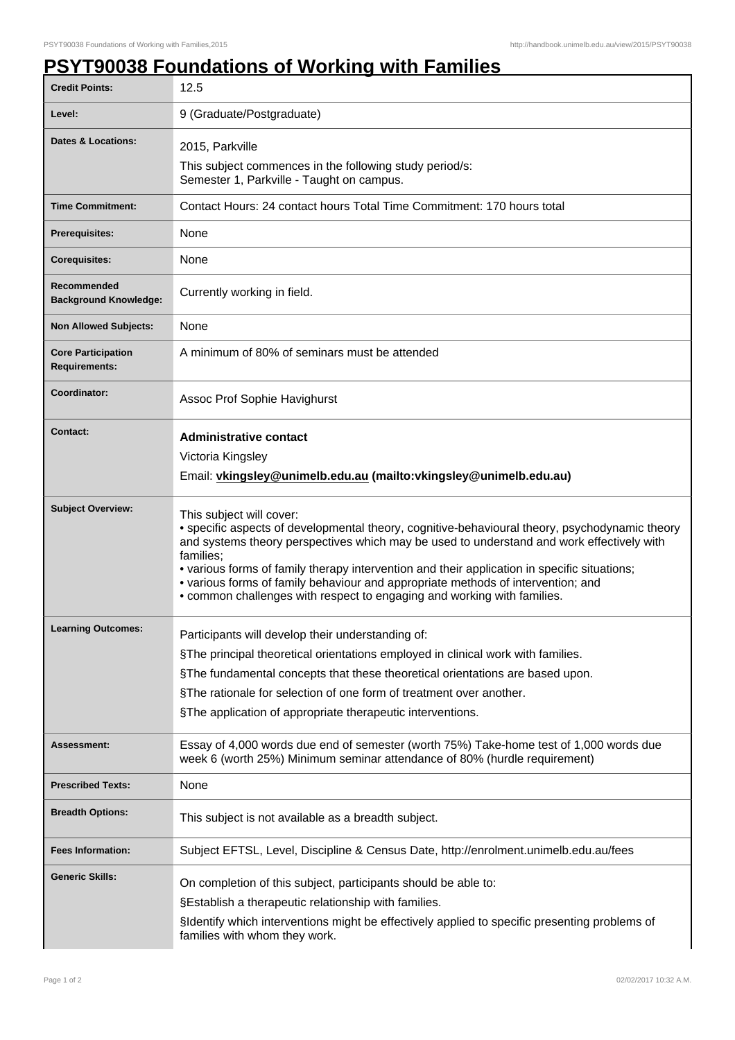## **PSYT90038 Foundations of Working with Families**

| <b>Credit Points:</b>                             | 12.5                                                                                                                                                                                                                                                                                                                                                                                                                                                                                                |
|---------------------------------------------------|-----------------------------------------------------------------------------------------------------------------------------------------------------------------------------------------------------------------------------------------------------------------------------------------------------------------------------------------------------------------------------------------------------------------------------------------------------------------------------------------------------|
| Level:                                            | 9 (Graduate/Postgraduate)                                                                                                                                                                                                                                                                                                                                                                                                                                                                           |
| <b>Dates &amp; Locations:</b>                     | 2015, Parkville                                                                                                                                                                                                                                                                                                                                                                                                                                                                                     |
|                                                   | This subject commences in the following study period/s:<br>Semester 1, Parkville - Taught on campus.                                                                                                                                                                                                                                                                                                                                                                                                |
| <b>Time Commitment:</b>                           | Contact Hours: 24 contact hours Total Time Commitment: 170 hours total                                                                                                                                                                                                                                                                                                                                                                                                                              |
| Prerequisites:                                    | None                                                                                                                                                                                                                                                                                                                                                                                                                                                                                                |
| <b>Corequisites:</b>                              | None                                                                                                                                                                                                                                                                                                                                                                                                                                                                                                |
| Recommended<br><b>Background Knowledge:</b>       | Currently working in field.                                                                                                                                                                                                                                                                                                                                                                                                                                                                         |
| <b>Non Allowed Subjects:</b>                      | None                                                                                                                                                                                                                                                                                                                                                                                                                                                                                                |
| <b>Core Participation</b><br><b>Requirements:</b> | A minimum of 80% of seminars must be attended                                                                                                                                                                                                                                                                                                                                                                                                                                                       |
| Coordinator:                                      | Assoc Prof Sophie Havighurst                                                                                                                                                                                                                                                                                                                                                                                                                                                                        |
| <b>Contact:</b>                                   | <b>Administrative contact</b>                                                                                                                                                                                                                                                                                                                                                                                                                                                                       |
|                                                   | Victoria Kingsley                                                                                                                                                                                                                                                                                                                                                                                                                                                                                   |
|                                                   | Email: vkingsley@unimelb.edu.au (mailto: vkingsley@unimelb.edu.au)                                                                                                                                                                                                                                                                                                                                                                                                                                  |
| <b>Subject Overview:</b>                          | This subject will cover:<br>• specific aspects of developmental theory, cognitive-behavioural theory, psychodynamic theory<br>and systems theory perspectives which may be used to understand and work effectively with<br>families:<br>• various forms of family therapy intervention and their application in specific situations;<br>• various forms of family behaviour and appropriate methods of intervention; and<br>• common challenges with respect to engaging and working with families. |
| <b>Learning Outcomes:</b>                         | Participants will develop their understanding of:                                                                                                                                                                                                                                                                                                                                                                                                                                                   |
|                                                   | §The principal theoretical orientations employed in clinical work with families.                                                                                                                                                                                                                                                                                                                                                                                                                    |
|                                                   | §The fundamental concepts that these theoretical orientations are based upon.                                                                                                                                                                                                                                                                                                                                                                                                                       |
|                                                   | §The rationale for selection of one form of treatment over another.                                                                                                                                                                                                                                                                                                                                                                                                                                 |
|                                                   | §The application of appropriate therapeutic interventions.                                                                                                                                                                                                                                                                                                                                                                                                                                          |
| Assessment:                                       | Essay of 4,000 words due end of semester (worth 75%) Take-home test of 1,000 words due<br>week 6 (worth 25%) Minimum seminar attendance of 80% (hurdle requirement)                                                                                                                                                                                                                                                                                                                                 |
| <b>Prescribed Texts:</b>                          | None                                                                                                                                                                                                                                                                                                                                                                                                                                                                                                |
| <b>Breadth Options:</b>                           | This subject is not available as a breadth subject.                                                                                                                                                                                                                                                                                                                                                                                                                                                 |
| <b>Fees Information:</b>                          | Subject EFTSL, Level, Discipline & Census Date, http://enrolment.unimelb.edu.au/fees                                                                                                                                                                                                                                                                                                                                                                                                                |
| <b>Generic Skills:</b>                            | On completion of this subject, participants should be able to:<br>§Establish a therapeutic relationship with families.<br>§Identify which interventions might be effectively applied to specific presenting problems of<br>families with whom they work.                                                                                                                                                                                                                                            |